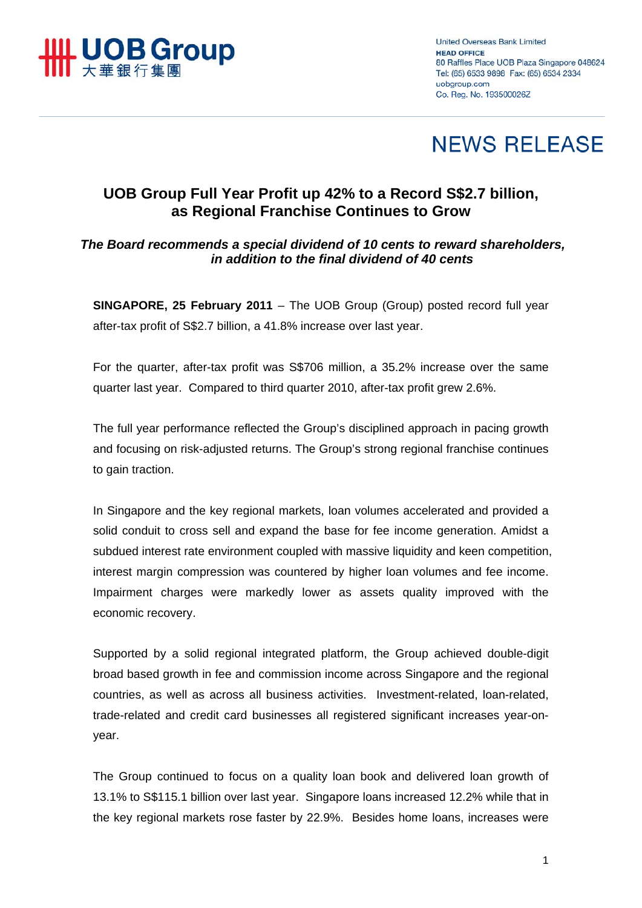

**United Overseas Bank Limited HEAD OFFICE** 80 Raffles Place UOB Plaza Singapore 048624 Tel: (65) 6533 9898 Fax: (65) 6534 2334 uobaroup.com Co. Reg. No. 193500026Z

# **NEWS RELEASE**

## **UOB Group Full Year Profit up 42% to a Record S\$2.7 billion, as Regional Franchise Continues to Grow**

### *The Board recommends a special dividend of 10 cents to reward shareholders, in addition to the final dividend of 40 cents*

**SINGAPORE, 25 February 2011** – The UOB Group (Group) posted record full year after-tax profit of S\$2.7 billion, a 41.8% increase over last year.

For the quarter, after-tax profit was S\$706 million, a 35.2% increase over the same quarter last year. Compared to third quarter 2010, after-tax profit grew 2.6%.

The full year performance reflected the Group's disciplined approach in pacing growth and focusing on risk-adjusted returns. The Group's strong regional franchise continues to gain traction.

In Singapore and the key regional markets, loan volumes accelerated and provided a solid conduit to cross sell and expand the base for fee income generation. Amidst a subdued interest rate environment coupled with massive liquidity and keen competition, interest margin compression was countered by higher loan volumes and fee income. Impairment charges were markedly lower as assets quality improved with the economic recovery.

Supported by a solid regional integrated platform, the Group achieved double-digit broad based growth in fee and commission income across Singapore and the regional countries, as well as across all business activities. Investment-related, loan-related, trade-related and credit card businesses all registered significant increases year-onyear.

The Group continued to focus on a quality loan book and delivered loan growth of 13.1% to S\$115.1 billion over last year. Singapore loans increased 12.2% while that in the key regional markets rose faster by 22.9%. Besides home loans, increases were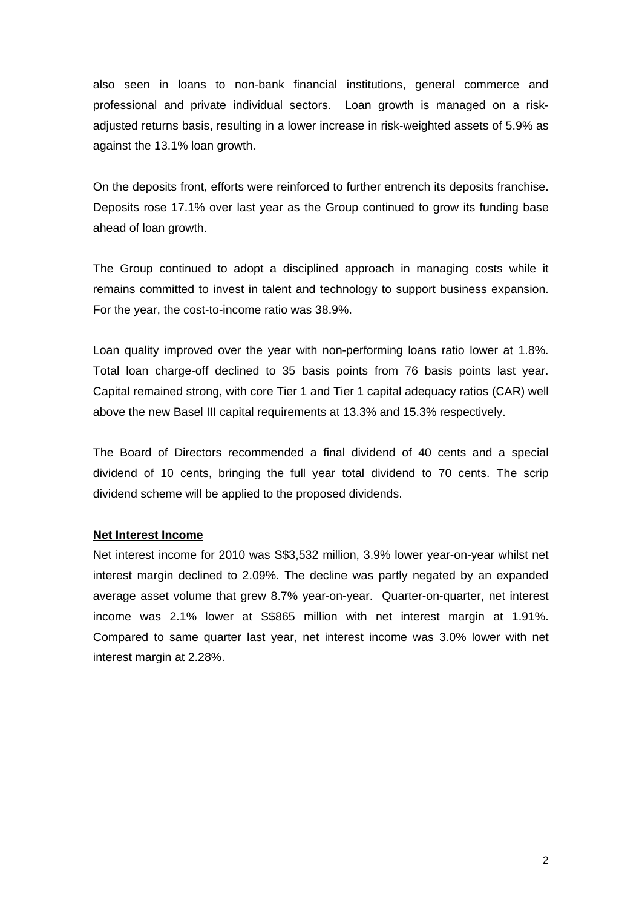also seen in loans to non-bank financial institutions, general commerce and professional and private individual sectors. Loan growth is managed on a riskadjusted returns basis, resulting in a lower increase in risk-weighted assets of 5.9% as against the 13.1% loan growth.

On the deposits front, efforts were reinforced to further entrench its deposits franchise. Deposits rose 17.1% over last year as the Group continued to grow its funding base ahead of loan growth.

The Group continued to adopt a disciplined approach in managing costs while it remains committed to invest in talent and technology to support business expansion. For the year, the cost-to-income ratio was 38.9%.

Loan quality improved over the year with non-performing loans ratio lower at 1.8%. Total loan charge-off declined to 35 basis points from 76 basis points last year. Capital remained strong, with core Tier 1 and Tier 1 capital adequacy ratios (CAR) well above the new Basel III capital requirements at 13.3% and 15.3% respectively.

The Board of Directors recommended a final dividend of 40 cents and a special dividend of 10 cents, bringing the full year total dividend to 70 cents. The scrip dividend scheme will be applied to the proposed dividends.

#### **Net Interest Income**

Net interest income for 2010 was S\$3,532 million, 3.9% lower year-on-year whilst net interest margin declined to 2.09%. The decline was partly negated by an expanded average asset volume that grew 8.7% year-on-year. Quarter-on-quarter, net interest income was 2.1% lower at S\$865 million with net interest margin at 1.91%. Compared to same quarter last year, net interest income was 3.0% lower with net interest margin at 2.28%.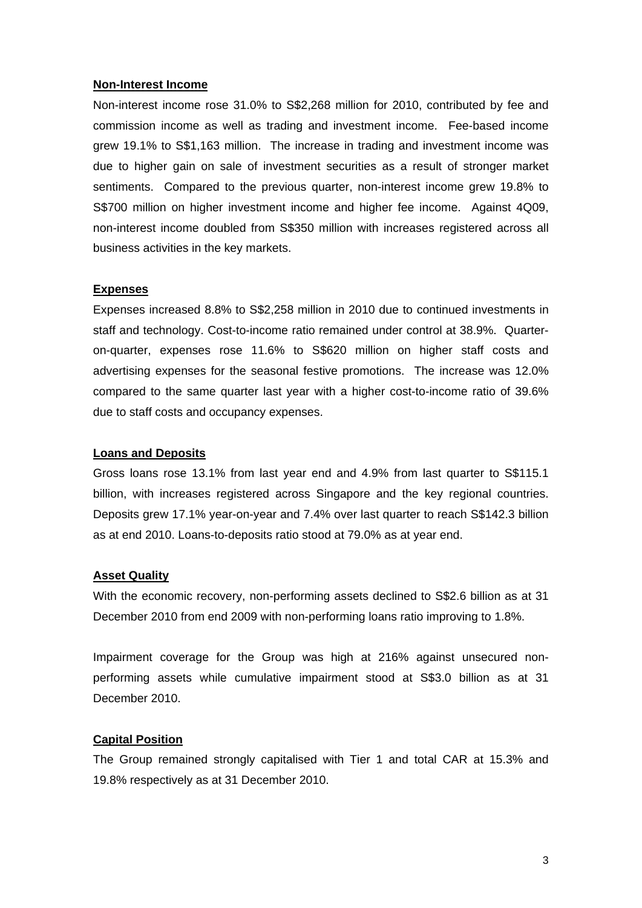#### **Non-Interest Income**

Non-interest income rose 31.0% to S\$2,268 million for 2010, contributed by fee and commission income as well as trading and investment income. Fee-based income grew 19.1% to S\$1,163 million. The increase in trading and investment income was due to higher gain on sale of investment securities as a result of stronger market sentiments. Compared to the previous quarter, non-interest income grew 19.8% to S\$700 million on higher investment income and higher fee income. Against 4Q09, non-interest income doubled from S\$350 million with increases registered across all business activities in the key markets.

#### **Expenses**

Expenses increased 8.8% to S\$2,258 million in 2010 due to continued investments in staff and technology. Cost-to-income ratio remained under control at 38.9%. Quarteron-quarter, expenses rose 11.6% to S\$620 million on higher staff costs and advertising expenses for the seasonal festive promotions. The increase was 12.0% compared to the same quarter last year with a higher cost-to-income ratio of 39.6% due to staff costs and occupancy expenses.

#### **Loans and Deposits**

Gross loans rose 13.1% from last year end and 4.9% from last quarter to S\$115.1 billion, with increases registered across Singapore and the key regional countries. Deposits grew 17.1% year-on-year and 7.4% over last quarter to reach S\$142.3 billion as at end 2010. Loans-to-deposits ratio stood at 79.0% as at year end.

#### **Asset Quality**

With the economic recovery, non-performing assets declined to S\$2.6 billion as at 31 December 2010 from end 2009 with non-performing loans ratio improving to 1.8%.

Impairment coverage for the Group was high at 216% against unsecured nonperforming assets while cumulative impairment stood at S\$3.0 billion as at 31 December 2010.

#### **Capital Position**

The Group remained strongly capitalised with Tier 1 and total CAR at 15.3% and 19.8% respectively as at 31 December 2010.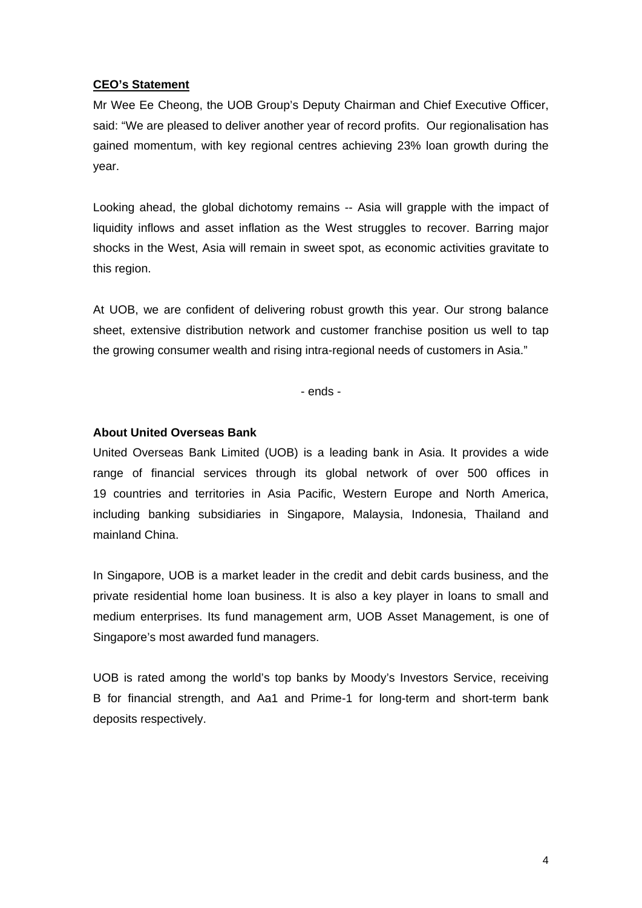#### **CEO's Statement**

Mr Wee Ee Cheong, the UOB Group's Deputy Chairman and Chief Executive Officer, said: "We are pleased to deliver another year of record profits. Our regionalisation has gained momentum, with key regional centres achieving 23% loan growth during the year.

Looking ahead, the global dichotomy remains -- Asia will grapple with the impact of liquidity inflows and asset inflation as the West struggles to recover. Barring major shocks in the West, Asia will remain in sweet spot, as economic activities gravitate to this region.

At UOB, we are confident of delivering robust growth this year. Our strong balance sheet, extensive distribution network and customer franchise position us well to tap the growing consumer wealth and rising intra-regional needs of customers in Asia."

- ends -

#### **About United Overseas Bank**

United Overseas Bank Limited (UOB) is a leading bank in Asia. It provides a wide range of financial services through its global network of over 500 offices in 19 countries and territories in Asia Pacific, Western Europe and North America, including banking subsidiaries in Singapore, Malaysia, Indonesia, Thailand and mainland China.

In Singapore, UOB is a market leader in the credit and debit cards business, and the private residential home loan business. It is also a key player in loans to small and medium enterprises. Its fund management arm, UOB Asset Management, is one of Singapore's most awarded fund managers.

UOB is rated among the world's top banks by Moody's Investors Service, receiving B for financial strength, and Aa1 and Prime-1 for long-term and short-term bank deposits respectively.